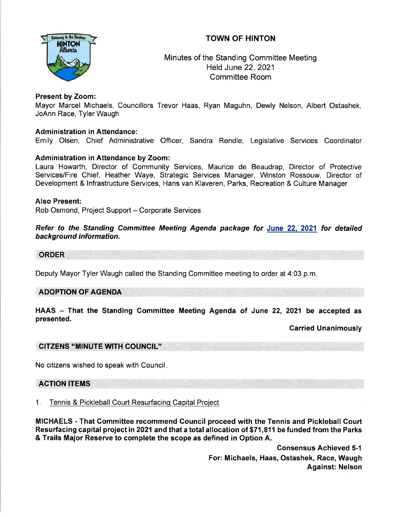# TOWN OF HINTON



Minutes of the Standing Committee Meeting Held June 22,2021 Committee Room

# Present by Zoom:

Mayor Marcel Michaels, Councillors Trevor Haas, Ryan Maguhn, Dewly Nelson, Albert Ostashek, JoAnn Race, Tyler Waugh

# Administration in Attendance:

Emily Olsen, Chief Administrative Officer, Sandra Rendle, Legislative Services Coordinator

# Administration in Attendance by Zoom:

Laura Howarth, Director of Community Services, Maurice de Beaudrap, Director of Protective Services/Fire Chief, Heather Waye, Strategic Services Manager, Winston Rossouw, Director of Development & lnfrastructure Services, Hans van Klaveren, Parks, Recreation & Culture Manager

# Also Present:

Rob Osmond, Project Support - Corporate Services

Refer to the Standing Committee Meeting Agenda package for June <sup>22</sup> 2021 for detailed background information.

### ORDER

Deputy Mayor Tyler Waugh called the Standing Committee meeting to order at 4:03 p.m

# ADOPTION OF AGENDA

HAAS – That the Standing Committee Meeting Agenda of June 22, 2021 be accepted as presented.

### Garried Unanimously

# CITZENS "MINUTE WTH COUNCIL'

No citizens wished to speak with Council

# ACTION ITEMS

1. Tennis & Pickleball Court Resurfacing Capital Project

MICHAELS - That Gommittee recommend Council proceed with the Tennis and Pickleball Court Resurfacing capital project in 2021 and that a total allocation of \$71,811 be funded from the Parks & Trails Major Reserve to complete the scope as defined in Option A.

> Consensus Achieved 5-1 For: Michaels, Haas, Ostashek, Race, Waugh Against: Nelson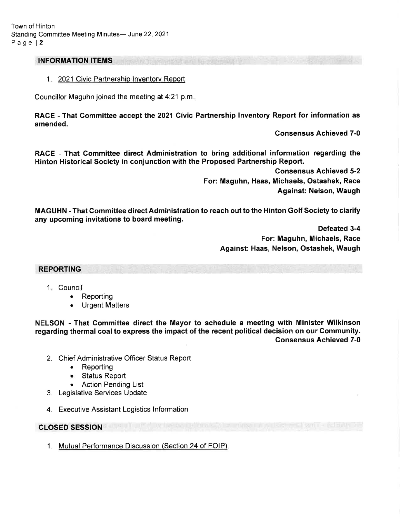### INFORMATION ITEMS

1. 2021 Civic Partnership Inventory Report

Councillor Maguhn joined the meeting at 4'.21 p.m

RACE - That Committee accept the 2021 Givic Partnership lnventory Report for information as amended.

Gonsensus Achieved 7-0

RACE - That Gommittee direct Administration to bring additional information regarding the Hinton Historical Society in conjunction with the Proposed Partnership Report.

> Consensus Achieved 5-2 For: Maguhn, Haas, Michaels, Ostashek, Race Against: Nelson, Waugh

MAGUHN - That Committee direct Administration to reach out to the Hinton Golf Society to clarify any upcoming invitations to board meeting.

> Defeated 3-4 For: Maguhn, Michaels, Race Against: Haas, Nelson, Ostashek, Waugh

#### REPORTING

- 1 Counci
	- $\bullet$  Reporting
	- Urgent Matters a

NELSON - That Gommittee direct the Mayor to schedule a meeting with Minister Wilkinson regarding thermal coal to express the impact of the recent political decision on our Community. Gonsensus Achieved 7-0

- 2. Chief Administrative Officer Status Report
	- . Reporting
	- e Status Report
	- . Action Pending List
- 3. Legislative Services Update
- 4. Executive Assistant Logistics lnformation

### CLOSED SESSION

1. Mutual Performance Discussion (Section 24 of FOIP)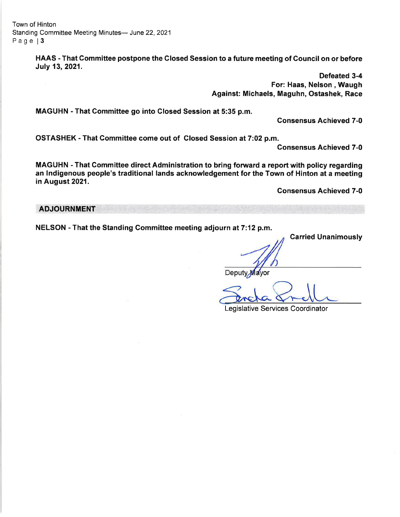Town of Hinton Standing Committee Meeting Minutes- June 22, 2021 Page | 3

> HAAS - That Committee postpone the Glosed Session to a future meeting of Gouncil on or before July 13, 2021.

> > Defeated 3-4 For: Haas, Nelson , Waugh Against: Michaels, Maguhn, Ostashek, Race

MAGUHN - That Committee go into Closed Session at 5:35 p.m.

Gonsensus Achieved 7-0

OSTASHEK - That Committee come out of Closed Session at 7:02 p.m.

Consensus Achieved 7-0

MAGUHN - That Committee direct Administration to bring forward a report with policy regarding an lndigenous people's traditional lands acknowledgement for the Town of Hinton at a meeting in August 2021.

Consensus Achieved 7-0

### ADJOURNMENT

NELSON - That the Standing Committee meeting adjourn at 7:12 p.m.

Carried Unanimously

Deputy Mayor

Legislative Services Coordinator